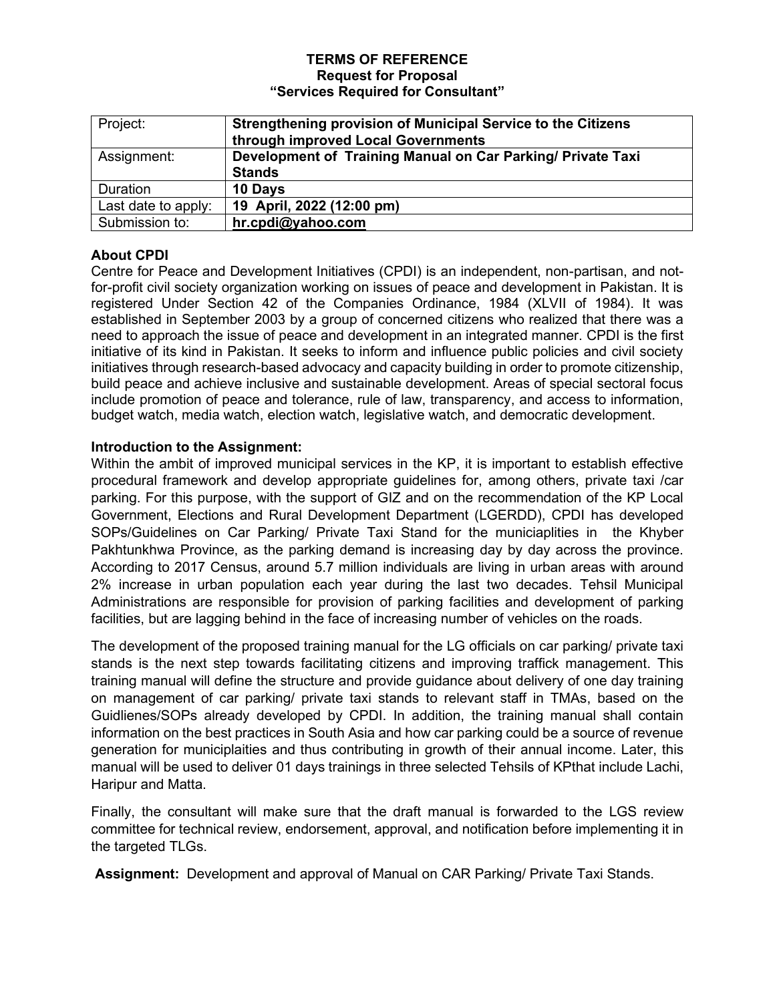#### **TERMS OF REFERENCE Request for Proposal "Services Required for Consultant"**

| Project:            | Strengthening provision of Municipal Service to the Citizens |
|---------------------|--------------------------------------------------------------|
|                     | through improved Local Governments                           |
| Assignment:         | Development of Training Manual on Car Parking/ Private Taxi  |
|                     | <b>Stands</b>                                                |
| <b>Duration</b>     | 10 Days                                                      |
| Last date to apply: | 19 April, 2022 (12:00 pm)                                    |
| Submission to:      | hr.cpdi@yahoo.com                                            |

# **About CPDI**

Centre for Peace and Development Initiatives (CPDI) is an independent, non-partisan, and notfor-profit civil society organization working on issues of peace and development in Pakistan. It is registered Under Section 42 of the Companies Ordinance, 1984 (XLVII of 1984). It was established in September 2003 by a group of concerned citizens who realized that there was a need to approach the issue of peace and development in an integrated manner. CPDI is the first initiative of its kind in Pakistan. It seeks to inform and influence public policies and civil society initiatives through research-based advocacy and capacity building in order to promote citizenship, build peace and achieve inclusive and sustainable development. Areas of special sectoral focus include promotion of peace and tolerance, rule of law, transparency, and access to information, budget watch, media watch, election watch, legislative watch, and democratic development.

### **Introduction to the Assignment:**

Within the ambit of improved municipal services in the KP, it is important to establish effective procedural framework and develop appropriate guidelines for, among others, private taxi /car parking. For this purpose, with the support of GIZ and on the recommendation of the KP Local Government, Elections and Rural Development Department (LGERDD), CPDI has developed SOPs/Guidelines on Car Parking/ Private Taxi Stand for the municiaplities in the Khyber Pakhtunkhwa Province, as the parking demand is increasing day by day across the province. According to 2017 Census, around 5.7 million individuals are living in urban areas with around 2% increase in urban population each year during the last two decades. Tehsil Municipal Administrations are responsible for provision of parking facilities and development of parking facilities, but are lagging behind in the face of increasing number of vehicles on the roads.

The development of the proposed training manual for the LG officials on car parking/ private taxi stands is the next step towards facilitating citizens and improving traffick management. This training manual will define the structure and provide guidance about delivery of one day training on management of car parking/ private taxi stands to relevant staff in TMAs, based on the Guidlienes/SOPs already developed by CPDI. In addition, the training manual shall contain information on the best practices in South Asia and how car parking could be a source of revenue generation for municiplaities and thus contributing in growth of their annual income. Later, this manual will be used to deliver 01 days trainings in three selected Tehsils of KPthat include Lachi, Haripur and Matta.

Finally, the consultant will make sure that the draft manual is forwarded to the LGS review committee for technical review, endorsement, approval, and notification before implementing it in the targeted TLGs.

**Assignment:** Development and approval of Manual on CAR Parking/ Private Taxi Stands.